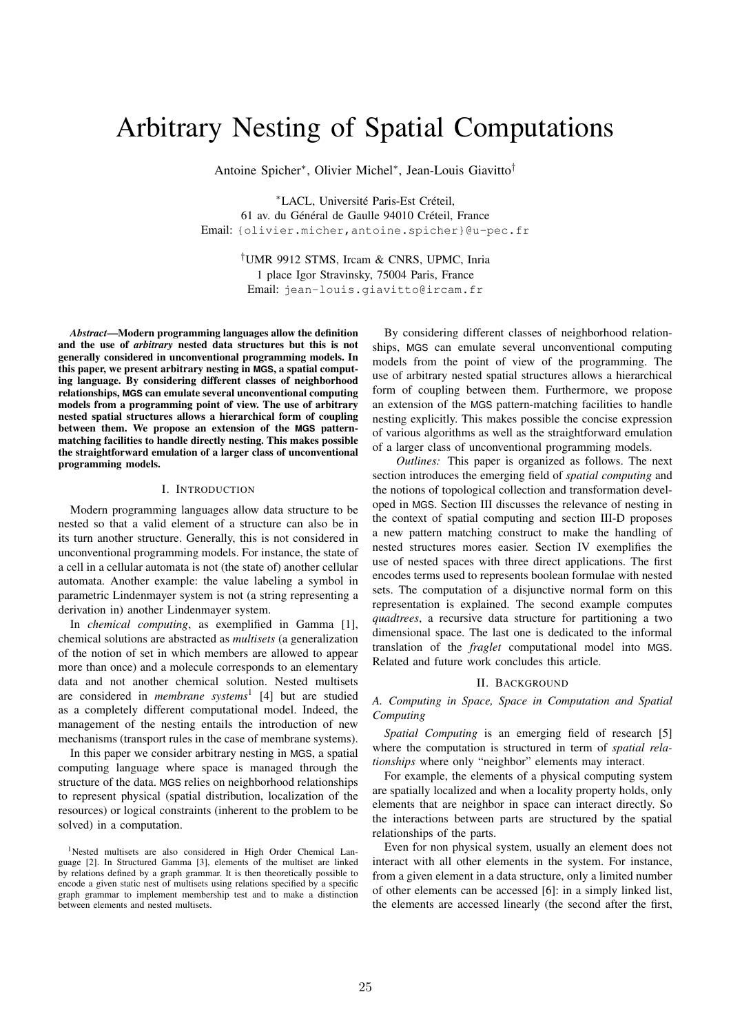# Arbitrary Nesting of Spatial Computations

Antoine Spicher∗, Olivier Michel∗, Jean-Louis Giavitto*†*

∗LACL, Université Paris-Est Créteil, 61 av. du Général de Gaulle 94010 Créteil, France Email: {olivier.micher,antoine.spicher}@u-pec.fr

> *†*UMR 9912 STMS, Ircam & CNRS, UPMC, Inria 1 place Igor Stravinsky, 75004 Paris, France Email: jean-louis.giavitto@ircam.fr

*Abstract*—Modern programming languages allow the definition and the use of *arbitrary* nested data structures but this is not generally considered in unconventional programming models. In this paper, we present arbitrary nesting in **MGS**, a spatial computing language. By considering different classes of neighborhood relationships, **MGS** can emulate several unconventional computing models from a programming point of view. The use of arbitrary nested spatial structures allows a hierarchical form of coupling between them. We propose an extension of the **MGS** patternmatching facilities to handle directly nesting. This makes possible the straightforward emulation of a larger class of unconventional programming models.

## I. INTRODUCTION

Modern programming languages allow data structure to be nested so that a valid element of a structure can also be in its turn another structure. Generally, this is not considered in unconventional programming models. For instance, the state of a cell in a cellular automata is not (the state of) another cellular automata. Another example: the value labeling a symbol in parametric Lindenmayer system is not (a string representing a derivation in) another Lindenmayer system.

In *chemical computing*, as exemplified in Gamma [1], chemical solutions are abstracted as *multisets* (a generalization of the notion of set in which members are allowed to appear more than once) and a molecule corresponds to an elementary data and not another chemical solution. Nested multisets are considered in *membrane systems*<sup>1</sup> [4] but are studied as a completely different computational model. Indeed, the management of the nesting entails the introduction of new mechanisms (transport rules in the case of membrane systems).

In this paper we consider arbitrary nesting in MGS, a spatial computing language where space is managed through the structure of the data. MGS relies on neighborhood relationships to represent physical (spatial distribution, localization of the resources) or logical constraints (inherent to the problem to be solved) in a computation.

By considering different classes of neighborhood relationships, MGS can emulate several unconventional computing models from the point of view of the programming. The use of arbitrary nested spatial structures allows a hierarchical form of coupling between them. Furthermore, we propose an extension of the MGS pattern-matching facilities to handle nesting explicitly. This makes possible the concise expression of various algorithms as well as the straightforward emulation of a larger class of unconventional programming models.

*Outlines:* This paper is organized as follows. The next section introduces the emerging field of *spatial computing* and the notions of topological collection and transformation developed in MGS. Section III discusses the relevance of nesting in the context of spatial computing and section III-D proposes a new pattern matching construct to make the handling of nested structures mores easier. Section IV exemplifies the use of nested spaces with three direct applications. The first encodes terms used to represents boolean formulae with nested sets. The computation of a disjunctive normal form on this representation is explained. The second example computes *quadtrees*, a recursive data structure for partitioning a two dimensional space. The last one is dedicated to the informal translation of the *fraglet* computational model into MGS. Related and future work concludes this article.

### II. BACKGROUND

## *A. Computing in Space, Space in Computation and Spatial Computing*

*Spatial Computing* is an emerging field of research [5] where the computation is structured in term of *spatial relationships* where only "neighbor" elements may interact.

For example, the elements of a physical computing system are spatially localized and when a locality property holds, only elements that are neighbor in space can interact directly. So the interactions between parts are structured by the spatial relationships of the parts.

Even for non physical system, usually an element does not interact with all other elements in the system. For instance, from a given element in a data structure, only a limited number of other elements can be accessed [6]: in a simply linked list, the elements are accessed linearly (the second after the first,

<sup>&</sup>lt;sup>1</sup>Nested multisets are also considered in High Order Chemical Language [2]. In Structured Gamma [3], elements of the multiset are linked by relations defined by a graph grammar. It is then theoretically possible to encode a given static nest of multisets using relations specified by a specific graph grammar to implement membership test and to make a distinction between elements and nested multisets.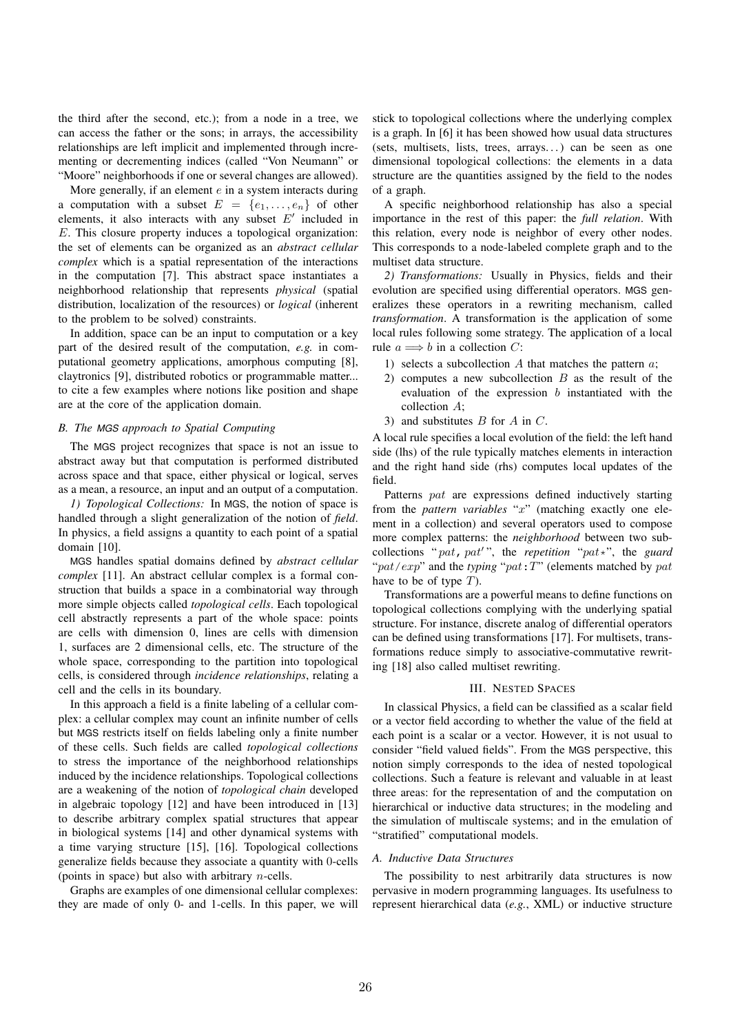the third after the second, etc.); from a node in a tree, we can access the father or the sons; in arrays, the accessibility relationships are left implicit and implemented through incrementing or decrementing indices (called "Von Neumann" or "Moore" neighborhoods if one or several changes are allowed).

More generally, if an element *e* in a system interacts during a computation with a subset  $E = \{e_1, \ldots, e_n\}$  of other elements, it also interacts with any subset  $E'$  included in *E*. This closure property induces a topological organization: the set of elements can be organized as an *abstract cellular complex* which is a spatial representation of the interactions in the computation [7]. This abstract space instantiates a neighborhood relationship that represents *physical* (spatial distribution, localization of the resources) or *logical* (inherent to the problem to be solved) constraints.

In addition, space can be an input to computation or a key part of the desired result of the computation, *e.g.* in computational geometry applications, amorphous computing [8], claytronics [9], distributed robotics or programmable matter... to cite a few examples where notions like position and shape are at the core of the application domain.

## *B. The MGS approach to Spatial Computing*

The MGS project recognizes that space is not an issue to abstract away but that computation is performed distributed across space and that space, either physical or logical, serves as a mean, a resource, an input and an output of a computation.

*1) Topological Collections:* In MGS, the notion of space is handled through a slight generalization of the notion of *field*. In physics, a field assigns a quantity to each point of a spatial domain [10].

MGS handles spatial domains defined by *abstract cellular complex* [11]. An abstract cellular complex is a formal construction that builds a space in a combinatorial way through more simple objects called *topological cells*. Each topological cell abstractly represents a part of the whole space: points are cells with dimension 0, lines are cells with dimension 1, surfaces are 2 dimensional cells, etc. The structure of the whole space, corresponding to the partition into topological cells, is considered through *incidence relationships*, relating a cell and the cells in its boundary.

In this approach a field is a finite labeling of a cellular complex: a cellular complex may count an infinite number of cells but MGS restricts itself on fields labeling only a finite number of these cells. Such fields are called *topological collections* to stress the importance of the neighborhood relationships induced by the incidence relationships. Topological collections are a weakening of the notion of *topological chain* developed in algebraic topology [12] and have been introduced in [13] to describe arbitrary complex spatial structures that appear in biological systems [14] and other dynamical systems with a time varying structure [15], [16]. Topological collections generalize fields because they associate a quantity with 0-cells (points in space) but also with arbitrary *n*-cells.

Graphs are examples of one dimensional cellular complexes: they are made of only 0- and 1-cells. In this paper, we will

stick to topological collections where the underlying complex is a graph. In [6] it has been showed how usual data structures (sets, multisets, lists, trees, arrays. . . ) can be seen as one dimensional topological collections: the elements in a data structure are the quantities assigned by the field to the nodes of a graph.

A specific neighborhood relationship has also a special importance in the rest of this paper: the *full relation*. With this relation, every node is neighbor of every other nodes. This corresponds to a node-labeled complete graph and to the multiset data structure.

*2) Transformations:* Usually in Physics, fields and their evolution are specified using differential operators. MGS generalizes these operators in a rewriting mechanism, called *transformation*. A transformation is the application of some local rules following some strategy. The application of a local rule  $a \Longrightarrow b$  in a collection *C*:

- 1) selects a subcollection *A* that matches the pattern *a*;
- 2) computes a new subcollection *B* as the result of the evaluation of the expression *b* instantiated with the collection *A*;
- 3) and substitutes *B* for *A* in *C*.

A local rule specifies a local evolution of the field: the left hand side (lhs) of the rule typically matches elements in interaction and the right hand side (rhs) computes local updates of the field.

Patterns *pat* are expressions defined inductively starting from the *pattern variables* "*x*" (matching exactly one element in a collection) and several operators used to compose more complex patterns: the *neighborhood* between two subcollections " *pat*, *pat*! ", the *repetition* "*pat*\*", the *guard* "*pat*/*exp*" and the *typing* "*pat*:*T*" (elements matched by *pat* have to be of type *T*).

Transformations are a powerful means to define functions on topological collections complying with the underlying spatial structure. For instance, discrete analog of differential operators can be defined using transformations [17]. For multisets, transformations reduce simply to associative-commutative rewriting [18] also called multiset rewriting.

#### III. NESTED SPACES

In classical Physics, a field can be classified as a scalar field or a vector field according to whether the value of the field at each point is a scalar or a vector. However, it is not usual to consider "field valued fields". From the MGS perspective, this notion simply corresponds to the idea of nested topological collections. Such a feature is relevant and valuable in at least three areas: for the representation of and the computation on hierarchical or inductive data structures; in the modeling and the simulation of multiscale systems; and in the emulation of "stratified" computational models.

### *A. Inductive Data Structures*

The possibility to nest arbitrarily data structures is now pervasive in modern programming languages. Its usefulness to represent hierarchical data (*e.g.*, XML) or inductive structure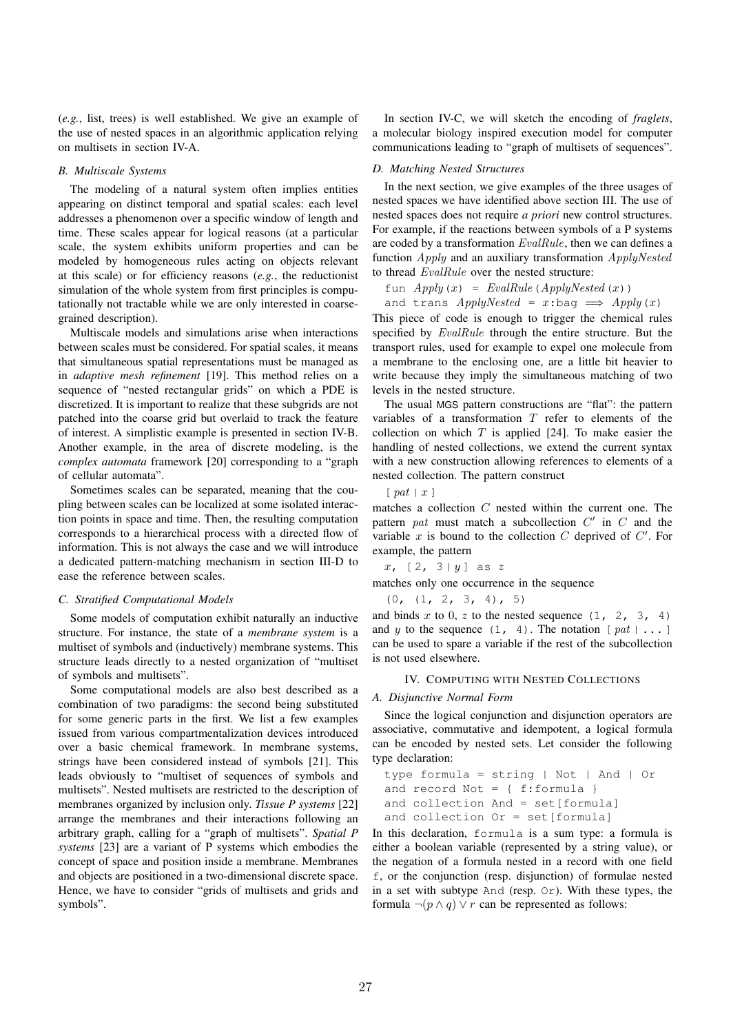(*e.g.*, list, trees) is well established. We give an example of the use of nested spaces in an algorithmic application relying on multisets in section IV-A.

#### *B. Multiscale Systems*

The modeling of a natural system often implies entities appearing on distinct temporal and spatial scales: each level addresses a phenomenon over a specific window of length and time. These scales appear for logical reasons (at a particular scale, the system exhibits uniform properties and can be modeled by homogeneous rules acting on objects relevant at this scale) or for efficiency reasons (*e.g.*, the reductionist simulation of the whole system from first principles is computationally not tractable while we are only interested in coarsegrained description).

Multiscale models and simulations arise when interactions between scales must be considered. For spatial scales, it means that simultaneous spatial representations must be managed as in *adaptive mesh refinement* [19]. This method relies on a sequence of "nested rectangular grids" on which a PDE is discretized. It is important to realize that these subgrids are not patched into the coarse grid but overlaid to track the feature of interest. A simplistic example is presented in section IV-B. Another example, in the area of discrete modeling, is the *complex automata* framework [20] corresponding to a "graph of cellular automata".

Sometimes scales can be separated, meaning that the coupling between scales can be localized at some isolated interaction points in space and time. Then, the resulting computation corresponds to a hierarchical process with a directed flow of information. This is not always the case and we will introduce a dedicated pattern-matching mechanism in section III-D to ease the reference between scales.

## *C. Stratified Computational Models*

Some models of computation exhibit naturally an inductive structure. For instance, the state of a *membrane system* is a multiset of symbols and (inductively) membrane systems. This structure leads directly to a nested organization of "multiset of symbols and multisets".

Some computational models are also best described as a combination of two paradigms: the second being substituted for some generic parts in the first. We list a few examples issued from various compartmentalization devices introduced over a basic chemical framework. In membrane systems, strings have been considered instead of symbols [21]. This leads obviously to "multiset of sequences of symbols and multisets". Nested multisets are restricted to the description of membranes organized by inclusion only. *Tissue P systems* [22] arrange the membranes and their interactions following an arbitrary graph, calling for a "graph of multisets". *Spatial P systems* [23] are a variant of P systems which embodies the concept of space and position inside a membrane. Membranes and objects are positioned in a two-dimensional discrete space. Hence, we have to consider "grids of multisets and grids and symbols".

In section IV-C, we will sketch the encoding of *fraglets*, a molecular biology inspired execution model for computer communications leading to "graph of multisets of sequences".

### *D. Matching Nested Structures*

In the next section, we give examples of the three usages of nested spaces we have identified above section III. The use of nested spaces does not require *a priori* new control structures. For example, if the reactions between symbols of a P systems are coded by a transformation *EvalRule*, then we can defines a function *Apply* and an auxiliary transformation *ApplyNested* to thread *EvalRule* over the nested structure:

$$
fun \, Apply \, (x) \ = \, Evaluate \, (ApplyNested \, (x))
$$

and trans  $ApplyNested = x:bag \implies Apply(x)$ 

This piece of code is enough to trigger the chemical rules specified by *EvalRule* through the entire structure. But the transport rules, used for example to expel one molecule from a membrane to the enclosing one, are a little bit heavier to write because they imply the simultaneous matching of two levels in the nested structure.

The usual MGS pattern constructions are "flat": the pattern variables of a transformation *T* refer to elements of the collection on which  $T$  is applied  $[24]$ . To make easier the handling of nested collections, we extend the current syntax with a new construction allowing references to elements of a nested collection. The pattern construct

 $\lceil$  *pat*  $\lfloor x \rfloor$ 

matches a collection *C* nested within the current one. The pattern *pat* must match a subcollection *C*! in *C* and the variable  $x$  is bound to the collection  $C$  deprived of  $C'$ . For example, the pattern

*x*, [ 2, 3 | *y* ] as *z* matches only one occurrence in the sequence

 $(0, (1, 2, 3, 4), 5)$ 

and binds  $x$  to 0,  $z$  to the nested sequence  $(1, 2, 3, 4)$ and *y* to the sequence  $(1, 4)$ . The notation  $[pat] \ldots$ can be used to spare a variable if the rest of the subcollection is not used elsewhere.

# IV. COMPUTING WITH NESTED COLLECTIONS

### *A. Disjunctive Normal Form*

Since the logical conjunction and disjunction operators are associative, commutative and idempotent, a logical formula can be encoded by nested sets. Let consider the following type declaration:

```
type formula = string | Not | And | Or
and record Not = \{ f:formula \}and collection And = set[formula]
and collection Or = set[formula]
```
In this declaration, formula is a sum type: a formula is either a boolean variable (represented by a string value), or the negation of a formula nested in a record with one field f, or the conjunction (resp. disjunction) of formulae nested in a set with subtype And (resp. Or). With these types, the formula  $\neg(p \land q) \lor r$  can be represented as follows: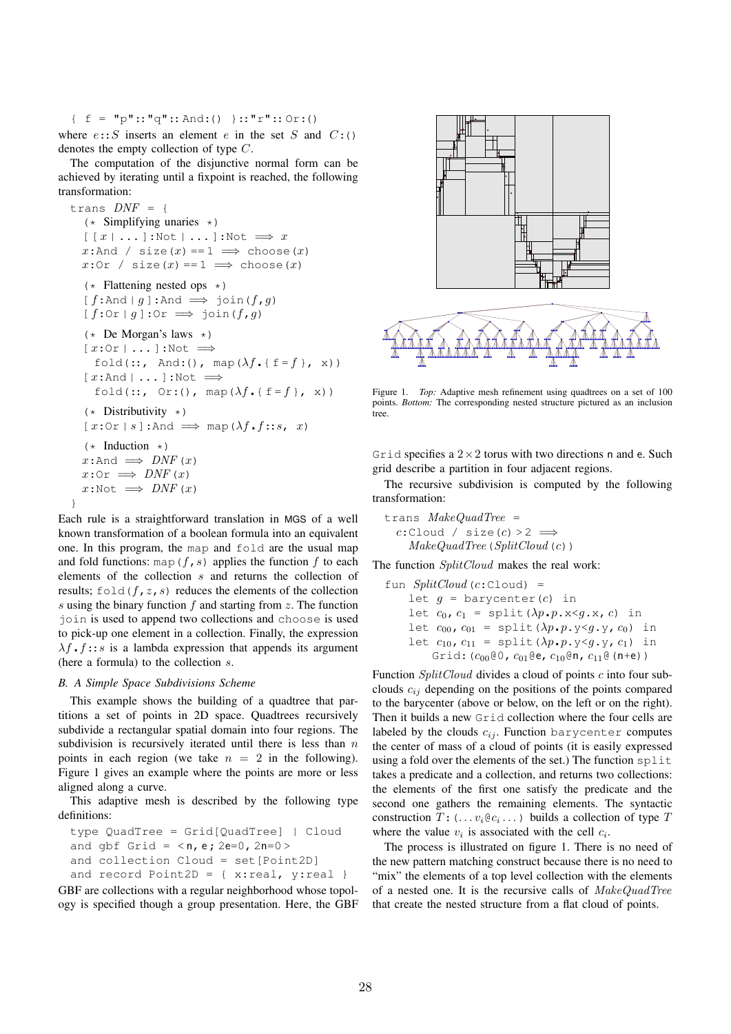$\{ f = "p": "q":: And:() \} :: "r":: Or:()$ where  $e::S$  inserts an element  $e$  in the set  $S$  and  $C:()$ denotes the empty collection of type *C*.

The computation of the disjunctive normal form can be achieved by iterating until a fixpoint is reached, the following transformation:

```
trans DNF = \{(* Simplifying unaries *)\lceil \lceil x \rceil ... ]:Not \lceil x \rceil ... ]:Not \implies xx:And / size(x) == 1 \implies choose (x)x:Or / size(x) == 1 \implies choose(x)
  (* Flattening nested ops *)\lceil f : \text{And} \rceil q : \text{And} \implies \text{join}(f, q) \rceil[f:Or | q]:Or \implies join(f, q)(* De Morgan's laws *)[x:0r | ...]:Not \impliesfold(::, And:(), map(\lambda f.{f=f}, x))
  [ x:And | ... ]:Not =⇒
    fold(::, Or:(), map(\lambda f \cdot{ f = f }, x))
  (* Distributivity *)[x:Or | s]:And \implies map(\lambda f, f::s, x)
  (* Induction *)x:And \implies DNF (x)x: Or \implies DNF (x)x:\text{Not} \implies DNF(x)}
```
Each rule is a straightforward translation in MGS of a well known transformation of a boolean formula into an equivalent one. In this program, the map and fold are the usual map and fold functions: map  $(f, s)$  applies the function  $f$  to each elements of the collection *s* and returns the collection of results; fold  $(f, z, s)$  reduces the elements of the collection *s* using the binary function *f* and starting from *z*. The function join is used to append two collections and choose is used to pick-up one element in a collection. Finally, the expression  $\lambda f \cdot f$ ::*s* is a lambda expression that appends its argument (here a formula) to the collection *s*.

#### *B. A Simple Space Subdivisions Scheme*

This example shows the building of a quadtree that partitions a set of points in 2D space. Quadtrees recursively subdivide a rectangular spatial domain into four regions. The subdivision is recursively iterated until there is less than *n* points in each region (we take  $n = 2$  in the following). Figure 1 gives an example where the points are more or less aligned along a curve.

This adaptive mesh is described by the following type definitions:

type QuadTree = Grid[QuadTree] | Cloud and gbf Grid =  $<$ n, e; 2e=0, 2n=0 > and collection Cloud = set[Point2D] and record Point2D = {  $x:real$ ,  $y:real$  }

GBF are collections with a regular neighborhood whose topology is specified though a group presentation. Here, the GBF



Figure 1. *Top:* Adaptive mesh refinement using quadtrees on a set of 100 points. *Bottom:* The corresponding nested structure pictured as an inclusion tree.

Grid specifies a  $2 \times 2$  torus with two directions n and e. Such grid describe a partition in four adjacent regions.

The recursive subdivision is computed by the following transformation:

trans *MakeQuadTree* =  $c:$ Cloud / size $(c)$ >2  $\implies$ *MakeQuadTree*(*SplitCloud*(*c*))

The function *SplitCloud* makes the real work:

fun *SplitCloud*(*c*:Cloud) = let  $q =$  barycenter(*c*) in let  $c_0$ ,  $c_1$  = split( $\lambda p \cdot p \cdot x \leq g \cdot x$ , *c*) in let  $c_{00}$ ,  $c_{01}$  = split( $\lambda p \cdot p \cdot y \leq g \cdot y$ ,  $c_0$ ) in let  $c_{10}$ ,  $c_{11}$  = split( $\lambda p \cdot p \cdot y \leq g \cdot y$ ,  $c_1$ ) in Grid:(*c*00@0, *c*01@e, *c*10@n, *c*11@(n+e))

Function *SplitCloud* divides a cloud of points *c* into four subclouds *cij* depending on the positions of the points compared to the barycenter (above or below, on the left or on the right). Then it builds a new Grid collection where the four cells are labeled by the clouds  $c_{ij}$ . Function barycenter computes the center of mass of a cloud of points (it is easily expressed using a fold over the elements of the set.) The function split takes a predicate and a collection, and returns two collections: the elements of the first one satisfy the predicate and the second one gathers the remaining elements. The syntactic construction  $T: (... v_i \mathcal{C}c_i ...)$  builds a collection of type  $T$ where the value  $v_i$  is associated with the cell  $c_i$ .

The process is illustrated on figure 1. There is no need of the new pattern matching construct because there is no need to "mix" the elements of a top level collection with the elements of a nested one. It is the recursive calls of *MakeQuadTree* that create the nested structure from a flat cloud of points.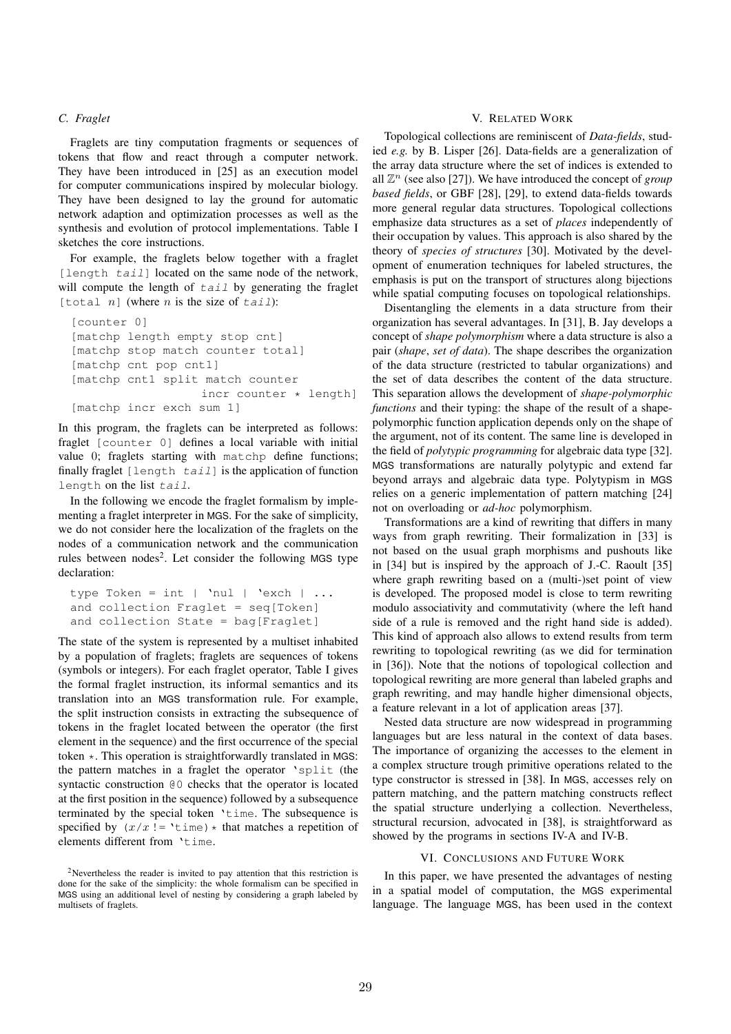## *C. Fraglet*

Fraglets are tiny computation fragments or sequences of tokens that flow and react through a computer network. They have been introduced in [25] as an execution model for computer communications inspired by molecular biology. They have been designed to lay the ground for automatic network adaption and optimization processes as well as the synthesis and evolution of protocol implementations. Table I sketches the core instructions.

For example, the fraglets below together with a fraglet [length *tail*] located on the same node of the network, will compute the length of *tail* by generating the fraglet [total *n*] (where *n* is the size of *tail*):

```
[counter 0]
[matchp length empty stop cnt]
[matchp stop match counter total]
[matchp cnt pop cnt1]
[matchp cnt1 split match counter
                   incr counter * length]
[matchp incr exch sum 1]
```
In this program, the fraglets can be interpreted as follows: fraglet [counter 0] defines a local variable with initial value 0; fraglets starting with matchp define functions; finally fraglet [length *tail*] is the application of function length on the list *tail*.

In the following we encode the fraglet formalism by implementing a fraglet interpreter in MGS. For the sake of simplicity, we do not consider here the localization of the fraglets on the nodes of a communication network and the communication rules between nodes<sup>2</sup>. Let consider the following MGS type declaration:

```
type Token = int | 'nul | 'exch | ...
and collection Fraglet = seq[Token]
and collection State = bag[Fraglet]
```
The state of the system is represented by a multiset inhabited by a population of fraglets; fraglets are sequences of tokens (symbols or integers). For each fraglet operator, Table I gives the formal fraglet instruction, its informal semantics and its translation into an MGS transformation rule. For example, the split instruction consists in extracting the subsequence of tokens in the fraglet located between the operator (the first element in the sequence) and the first occurrence of the special token  $\star$ . This operation is straightforwardly translated in MGS: the pattern matches in a fraglet the operator 'split (the syntactic construction @0 checks that the operator is located at the first position in the sequence) followed by a subsequence terminated by the special token 'time. The subsequence is specified by  $(x/x) =$  'time)  $*$  that matches a repetition of elements different from 'time.

## V. RELATED WORK

Topological collections are reminiscent of *Data-fields*, studied *e.g.* by B. Lisper [26]. Data-fields are a generalization of the array data structure where the set of indices is extended to all  $\mathbb{Z}^n$  (see also [27]). We have introduced the concept of *group based fields*, or GBF [28], [29], to extend data-fields towards more general regular data structures. Topological collections emphasize data structures as a set of *places* independently of their occupation by values. This approach is also shared by the theory of *species of structures* [30]. Motivated by the development of enumeration techniques for labeled structures, the emphasis is put on the transport of structures along bijections while spatial computing focuses on topological relationships.

Disentangling the elements in a data structure from their organization has several advantages. In [31], B. Jay develops a concept of *shape polymorphism* where a data structure is also a pair (*shape*, *set of data*). The shape describes the organization of the data structure (restricted to tabular organizations) and the set of data describes the content of the data structure. This separation allows the development of *shape-polymorphic functions* and their typing: the shape of the result of a shapepolymorphic function application depends only on the shape of the argument, not of its content. The same line is developed in the field of *polytypic programming* for algebraic data type [32]. MGS transformations are naturally polytypic and extend far beyond arrays and algebraic data type. Polytypism in MGS relies on a generic implementation of pattern matching [24] not on overloading or *ad-hoc* polymorphism.

Transformations are a kind of rewriting that differs in many ways from graph rewriting. Their formalization in [33] is not based on the usual graph morphisms and pushouts like in [34] but is inspired by the approach of J.-C. Raoult [35] where graph rewriting based on a (multi-)set point of view is developed. The proposed model is close to term rewriting modulo associativity and commutativity (where the left hand side of a rule is removed and the right hand side is added). This kind of approach also allows to extend results from term rewriting to topological rewriting (as we did for termination in [36]). Note that the notions of topological collection and topological rewriting are more general than labeled graphs and graph rewriting, and may handle higher dimensional objects, a feature relevant in a lot of application areas [37].

Nested data structure are now widespread in programming languages but are less natural in the context of data bases. The importance of organizing the accesses to the element in a complex structure trough primitive operations related to the type constructor is stressed in [38]. In MGS, accesses rely on pattern matching, and the pattern matching constructs reflect the spatial structure underlying a collection. Nevertheless, structural recursion, advocated in [38], is straightforward as showed by the programs in sections IV-A and IV-B.

### VI. CONCLUSIONS AND FUTURE WORK

In this paper, we have presented the advantages of nesting in a spatial model of computation, the MGS experimental language. The language MGS, has been used in the context

<sup>2</sup>Nevertheless the reader is invited to pay attention that this restriction is done for the sake of the simplicity: the whole formalism can be specified in MGS using an additional level of nesting by considering a graph labeled by multisets of fraglets.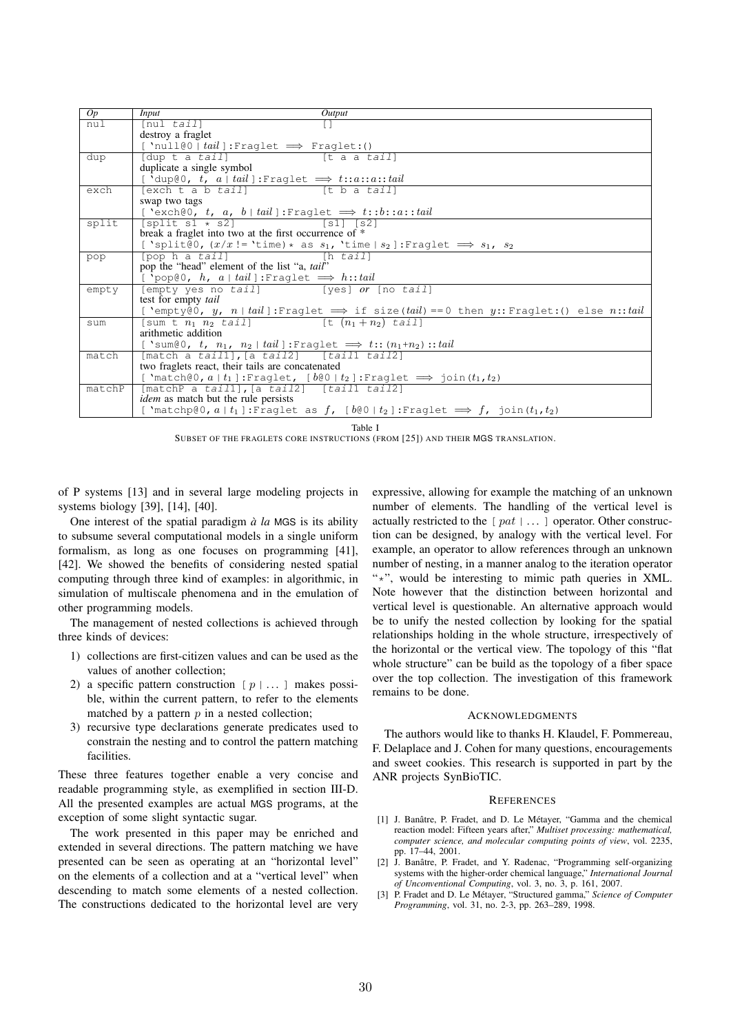| Op     | <i>Input</i><br>Output                                                                                                         |
|--------|--------------------------------------------------------------------------------------------------------------------------------|
| nu1    | $\lceil \texttt{null} \ \ \texttt{tail} \ \ \rceil$<br>n                                                                       |
|        | destroy a fraglet                                                                                                              |
|        | ['null@0 tail]:Fraglet $\implies$ Fraglet:()                                                                                   |
| dup    | [dup t a tail]<br>[t a a tail]                                                                                                 |
|        | duplicate a single symbol                                                                                                      |
|        | ['dup@0, t, a   tail]: Fraglet $\implies t::a::a::tail$                                                                        |
| exch   | [exch t a b tail] [t b a tail]                                                                                                 |
|        | swap two tags                                                                                                                  |
|        | [ 'exch@0, t, a, b   tail ]: Fraglet $\implies t: :b: :a: :tail$                                                               |
| split  | $[split s1 \times s2]$ $[sl]$ $[s2]$                                                                                           |
|        | break a fraglet into two at the first occurrence of *                                                                          |
|        | ['split@0, $(x/x)!$ = 'time) * as $s_1$ , 'time   $s_2$ ]: Fraglet $\implies s_1$ , $s_2$                                      |
| pop    | [pop h a tail]<br>[h tail]                                                                                                     |
|        | pop the "head" element of the list "a, tail"                                                                                   |
|        | [ 'pop@0, h, a   tail ]: Fraqlet $\implies h::tail$                                                                            |
| empty  | [empty yes no tail] [yes] or [no tail]                                                                                         |
|        | test for empty <i>tail</i>                                                                                                     |
|        | ['empty@0, $y$ , $n   tail$ : Fraglet $\implies$ if size (tail) == 0 then $y$ : Fraglet: () else $n::tail$                     |
| sum    | [sum t $n_1$ $n_2$ tail] [t $(n_1+n_2)$ tail]                                                                                  |
|        | arithmetic addition                                                                                                            |
|        | [ 'sum@0, $t$ , $n_1$ , $n_2$   tail ]: Fraglet $\implies$ t: $(n_1+n_2)$ : tail                                               |
| match  | [match a tail1], [a tail2] [tail1 tail2]                                                                                       |
|        | two fraglets react, their tails are concatenated                                                                               |
|        | ['match@0, a t <sub>1</sub> ]:Fraglet, [ $b@0$  t <sub>2</sub> ]:Fraglet $\implies$ join( $t_1, t_2$ )                         |
| matchP | $[matchP a tail1], [a tail2] [tail1 tail2]$                                                                                    |
|        | idem as match but the rule persists                                                                                            |
|        | ['matchp@0, a t <sub>1</sub> ]:Fraglet as f, [b@0 t <sub>2</sub> ]:Fraglet $\implies$ f, join(t <sub>1</sub> ,t <sub>2</sub> ) |

Table I

SUBSET OF THE FRAGLETS CORE INSTRUCTIONS (FROM [25]) AND THEIR MGS TRANSLATION.

of P systems [13] and in several large modeling projects in systems biology [39], [14], [40].

One interest of the spatial paradigm *à la* MGS is its ability to subsume several computational models in a single uniform formalism, as long as one focuses on programming [41], [42]. We showed the benefits of considering nested spatial computing through three kind of examples: in algorithmic, in simulation of multiscale phenomena and in the emulation of other programming models.

The management of nested collections is achieved through three kinds of devices:

- 1) collections are first-citizen values and can be used as the values of another collection;
- 2) a specific pattern construction [ *p* | ... ] makes possible, within the current pattern, to refer to the elements matched by a pattern  $p$  in a nested collection;
- 3) recursive type declarations generate predicates used to constrain the nesting and to control the pattern matching facilities.

These three features together enable a very concise and readable programming style, as exemplified in section III-D. All the presented examples are actual MGS programs, at the exception of some slight syntactic sugar.

The work presented in this paper may be enriched and extended in several directions. The pattern matching we have presented can be seen as operating at an "horizontal level" on the elements of a collection and at a "vertical level" when descending to match some elements of a nested collection. The constructions dedicated to the horizontal level are very expressive, allowing for example the matching of an unknown number of elements. The handling of the vertical level is actually restricted to the [ *pat* | ... ] operator. Other construction can be designed, by analogy with the vertical level. For example, an operator to allow references through an unknown number of nesting, in a manner analog to the iteration operator "\*", would be interesting to mimic path queries in XML. Note however that the distinction between horizontal and vertical level is questionable. An alternative approach would be to unify the nested collection by looking for the spatial relationships holding in the whole structure, irrespectively of the horizontal or the vertical view. The topology of this "flat whole structure" can be build as the topology of a fiber space over the top collection. The investigation of this framework remains to be done.

## ACKNOWLEDGMENTS

The authors would like to thanks H. Klaudel, F. Pommereau, F. Delaplace and J. Cohen for many questions, encouragements and sweet cookies. This research is supported in part by the ANR projects SynBioTIC.

#### **REFERENCES**

- [1] J. Banâtre, P. Fradet, and D. Le Métayer, "Gamma and the chemical reaction model: Fifteen years after," *Multiset processing: mathematical, computer science, and molecular computing points of view*, vol. 2235, pp. 17–44, 2001.
- [2] J. Banâtre, P. Fradet, and Y. Radenac, "Programming self-organizing systems with the higher-order chemical language," *International Journal of Unconventional Computing*, vol. 3, no. 3, p. 161, 2007.
- [3] P. Fradet and D. Le Métayer, "Structured gamma," *Science of Computer Programming*, vol. 31, no. 2-3, pp. 263–289, 1998.